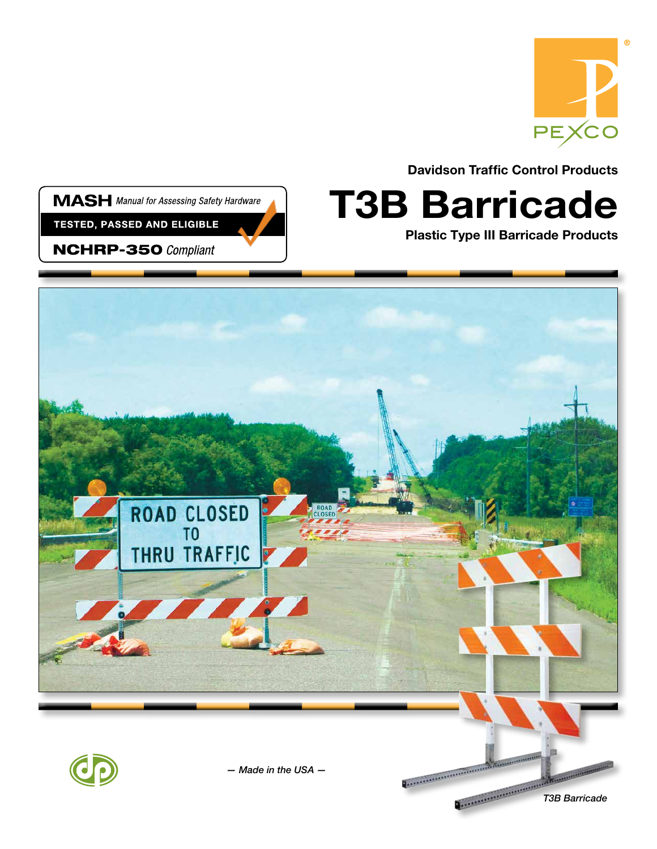

Davidson Traffic Control Products

**MASH** Manual for Assessing Safety Hardware

**TESTED, PASSED AND ELIGIBLE** 

**NCHRP-350 Compliant** 

## T3B Barricade

Plastic Type III Barricade Products